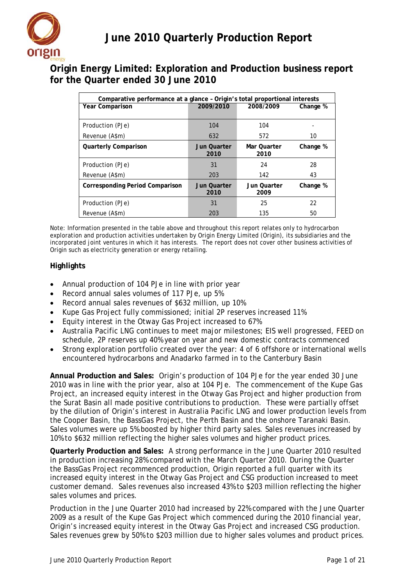

# **Origin Energy Limited: Exploration and Production business report for the Quarter ended 30 June 2010**

| Comparative performance at a glance - Origin's total proportional interests |                    |             |          |
|-----------------------------------------------------------------------------|--------------------|-------------|----------|
| <b>Year Comparison</b>                                                      | 2009/2010          | 2008/2009   | Change % |
|                                                                             |                    |             |          |
| Production (PJe)                                                            | 104                | 104         |          |
| Revenue (A\$m)                                                              | 632                | 572         | 10       |
| <b>Quarterly Comparison</b>                                                 | Jun Quarter        | Mar Ouarter | Change % |
|                                                                             | 2010               | 2010        |          |
| Production (PJe)                                                            | 31                 | 24          | 28       |
| Revenue (A\$m)                                                              | 203                | 142         | 43       |
| <b>Corresponding Period Comparison</b>                                      | <b>Jun Quarter</b> | Jun Quarter | Change % |
|                                                                             | 2010               | 2009        |          |
| Production (PJe)                                                            | 31                 | 25          | 22       |
| Revenue (A\$m)                                                              | 203                | 135         | 50       |

Note: Information presented in the table above and throughout this report relates only to hydrocarbon exploration and production activities undertaken by Origin Energy Limited (Origin), its subsidiaries and the incorporated joint ventures in which it has interests. The report does not cover other business activities of Origin such as electricity generation or energy retailing.

### **Highlights**

- Annual production of 104 PJe in line with prior year
- Record annual sales volumes of 117 PJe, up 5%
- Record annual sales revenues of \$632 million, up 10%
- Kupe Gas Project fully commissioned; initial 2P reserves increased 11%
- Equity interest in the Otway Gas Project increased to 67%
- Australia Pacific LNG continues to meet major milestones; EIS well progressed, FEED on schedule, 2P reserves up 40% year on year and new domestic contracts commenced
- Strong exploration portfolio created over the year: 4 of 6 offshore or international wells encountered hydrocarbons and Anadarko farmed in to the Canterbury Basin

**Annual Production and Sales:** Origin's production of 104 PJe for the year ended 30 June 2010 was in line with the prior year, also at 104 PJe. The commencement of the Kupe Gas Project, an increased equity interest in the Otway Gas Project and higher production from the Surat Basin all made positive contributions to production. These were partially offset by the dilution of Origin's interest in Australia Pacific LNG and lower production levels from the Cooper Basin, the BassGas Project, the Perth Basin and the onshore Taranaki Basin. Sales volumes were up 5% boosted by higher third party sales. Sales revenues increased by 10% to \$632 million reflecting the higher sales volumes and higher product prices.

**Quarterly Production and Sales:** A strong performance in the June Quarter 2010 resulted in production increasing 28% compared with the March Quarter 2010. During the Quarter the BassGas Project recommenced production, Origin reported a full quarter with its increased equity interest in the Otway Gas Project and CSG production increased to meet customer demand. Sales revenues also increased 43% to \$203 million reflecting the higher sales volumes and prices.

Production in the June Quarter 2010 had increased by 22% compared with the June Quarter 2009 as a result of the Kupe Gas Project which commenced during the 2010 financial year, Origin's increased equity interest in the Otway Gas Project and increased CSG production. Sales revenues grew by 50% to \$203 million due to higher sales volumes and product prices.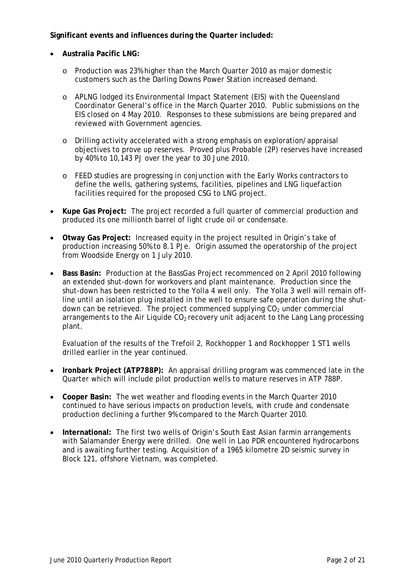### **Significant events and influences during the Quarter included:**

- **Australia Pacific LNG:**
	- o Production was 23% higher than the March Quarter 2010 as major domestic customers such as the Darling Downs Power Station increased demand.
	- o APLNG lodged its Environmental Impact Statement (EIS) with the Queensland Coordinator General's office in the March Quarter 2010. Public submissions on the EIS closed on 4 May 2010. Responses to these submissions are being prepared and reviewed with Government agencies.
	- o Drilling activity accelerated with a strong emphasis on exploration/appraisal objectives to prove up reserves. Proved plus Probable (2P) reserves have increased by 40% to 10,143 PJ over the year to 30 June 2010.
	- o FEED studies are progressing in conjunction with the Early Works contractors to define the wells, gathering systems, facilities, pipelines and LNG liquefaction facilities required for the proposed CSG to LNG project.
- **Kupe Gas Project:** The project recorded a full quarter of commercial production and produced its one millionth barrel of light crude oil or condensate.
- **Otway Gas Project:** Increased equity in the project resulted in Origin's take of production increasing 50% to 8.1 PJe. Origin assumed the operatorship of the project from Woodside Energy on 1 July 2010.
- **Bass Basin:** Production at the BassGas Project recommenced on 2 April 2010 following an extended shut-down for workovers and plant maintenance. Production since the shut-down has been restricted to the Yolla 4 well only. The Yolla 3 well will remain offline until an isolation plug installed in the well to ensure safe operation during the shutdown can be retrieved. The project commenced supplying  $CO<sub>2</sub>$  under commercial arrangements to the Air Liquide  $CO<sub>2</sub>$  recovery unit adjacent to the Lang Lang processing plant.

Evaluation of the results of the Trefoil 2, Rockhopper 1 and Rockhopper 1 ST1 wells drilled earlier in the year continued.

- **Ironbark Project (ATP788P):** An appraisal drilling program was commenced late in the Quarter which will include pilot production wells to mature reserves in ATP 788P.
- **Cooper Basin:** The wet weather and flooding events in the March Quarter 2010 continued to have serious impacts on production levels, with crude and condensate production declining a further 9% compared to the March Quarter 2010.
- **International:** The first two wells of Origin's South East Asian farmin arrangements with Salamander Energy were drilled. One well in Lao PDR encountered hydrocarbons and is awaiting further testing. Acquisition of a 1965 kilometre 2D seismic survey in Block 121, offshore Vietnam, was completed.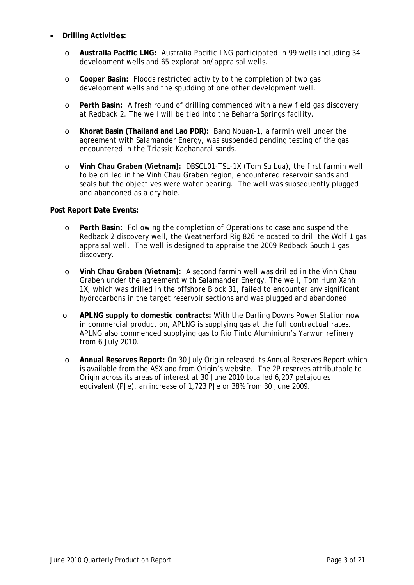- **Drilling Activities:**
	- o **Australia Pacific LNG:** Australia Pacific LNG participated in 99 wells including 34 development wells and 65 exploration/appraisal wells.
	- o **Cooper Basin:** Floods restricted activity to the completion of two gas development wells and the spudding of one other development well.
	- o **Perth Basin:** A fresh round of drilling commenced with a new field gas discovery at Redback 2. The well will be tied into the Beharra Springs facility.
	- o **Khorat Basin (Thailand and Lao PDR):** Bang Nouan-1, a farmin well under the agreement with Salamander Energy, was suspended pending testing of the gas encountered in the Triassic Kachanarai sands.
	- o **Vinh Chau Graben (Vietnam):** DBSCL01-TSL-1X (Tom Su Lua), the first farmin well to be drilled in the Vinh Chau Graben region, encountered reservoir sands and seals but the objectives were water bearing. The well was subsequently plugged and abandoned as a dry hole.

### **Post Report Date Events:**

- o **Perth Basin:** Following the completion of Operations to case and suspend the Redback 2 discovery well, the Weatherford Rig 826 relocated to drill the Wolf 1 gas appraisal well. The well is designed to appraise the 2009 Redback South 1 gas discovery.
- o **Vinh Chau Graben (Vietnam):** A second farmin well was drilled in the Vinh Chau Graben under the agreement with Salamander Energy. The well, Tom Hum Xanh 1X, which was drilled in the offshore Block 31, failed to encounter any significant hydrocarbons in the target reservoir sections and was plugged and abandoned.
- o **APLNG supply to domestic contracts:** With the Darling Downs Power Station now in commercial production, APLNG is supplying gas at the full contractual rates. APLNG also commenced supplying gas to Rio Tinto Aluminium's Yarwun refinery from 6 July 2010.
- o **Annual Reserves Report:** On 30 July Origin released its Annual Reserves Report which is available from the ASX and from Origin's website. The 2P reserves attributable to Origin across its areas of interest at 30 June 2010 totalled 6,207 petajoules equivalent (PJe), an increase of 1,723 PJe or 38% from 30 June 2009.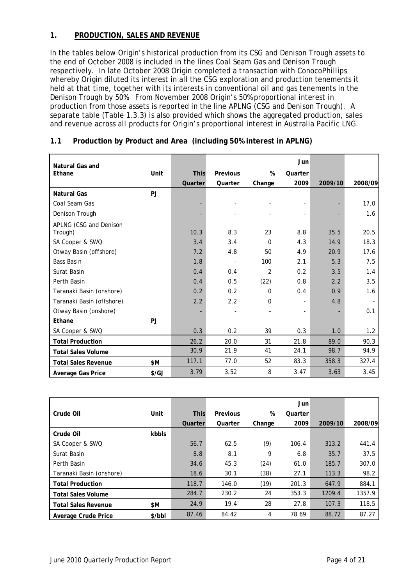### **1. PRODUCTION, SALES AND REVENUE**

In the tables below Origin's historical production from its CSG and Denison Trough assets to the end of October 2008 is included in the lines *Coal Seam Gas* and *Denison Trough* respectively. In late October 2008 Origin completed a transaction with ConocoPhillips whereby Origin diluted its interest in all the CSG exploration and production tenements it held at that time, together with its interests in conventional oil and gas tenements in the Denison Trough by 50%. From November 2008 Origin's 50% proportional interest in production from those assets is reported in the line *APLNG (CSG and Denison Trough)*. A separate table (Table 1.3.3) is also provided which shows the aggregated production, sales and revenue across all products for Origin's proportional interest in Australia Pacific LNG.

| <b>Natural Gas and</b>     |              |             |                          |                | Jun            |         |         |
|----------------------------|--------------|-------------|--------------------------|----------------|----------------|---------|---------|
| Ethane                     | Unit         | <b>This</b> | Previous                 | %              | Quarter        |         |         |
|                            |              | Quarter     | Quarter                  | Change         | 2009           | 2009/10 | 2008/09 |
| <b>Natural Gas</b>         | PJ           |             |                          |                |                |         |         |
| Coal Seam Gas              |              |             |                          |                |                |         | 17.0    |
| Denison Trough             |              |             |                          |                |                |         | 1.6     |
| APLNG (CSG and Denison     |              |             |                          |                |                |         |         |
| Trough)                    |              | 10.3        | 8.3                      | 23             | 8.8            | 35.5    | 20.5    |
| SA Cooper & SWQ            |              | 3.4         | 3.4                      | $\mathbf 0$    | 4.3            | 14.9    | 18.3    |
| Otway Basin (offshore)     |              | 7.2         | 4.8                      | 50             | 4.9            | 20.9    | 17.6    |
| <b>Bass Basin</b>          |              | 1.8         | $\overline{\phantom{a}}$ | 100            | 2.1            | 5.3     | 7.5     |
| Surat Basin                |              | 0.4         | 0.4                      | $\overline{2}$ | 0.2            | 3.5     | 1.4     |
| Perth Basin                |              | 0.4         | 0.5                      | (22)           | 0.8            | 2.2     | 3.5     |
| Taranaki Basin (onshore)   |              | 0.2         | 0.2                      | $\Omega$       | 0.4            | 0.9     | 1.6     |
| Taranaki Basin (offshore)  |              | 2.2         | 2.2                      | 0              | $\blacksquare$ | 4.8     |         |
| Otway Basin (onshore)      |              |             |                          |                |                |         | 0.1     |
| Ethane                     | PJ           |             |                          |                |                |         |         |
| SA Cooper & SWQ            |              | 0.3         | 0.2                      | 39             | 0.3            | 1.0     | 1.2     |
| <b>Total Production</b>    |              | 26.2        | 20.0                     | 31             | 21.8           | 89.0    | 90.3    |
| <b>Total Sales Volume</b>  |              | 30.9        | 21.9                     | 41             | 24.1           | 98.7    | 94.9    |
| <b>Total Sales Revenue</b> | \$M          | 117.1       | 77.0                     | 52             | 83.3           | 358.3   | 327.4   |
| Average Gas Price          | $\sqrt{$GJ}$ | 3.79        | 3.52                     | 8              | 3.47           | 3.63    | 3.45    |

### **1.1 Production by Product and Area (including 50% interest in APLNG)**

|                            |        |             |          |        | Jun     |         |         |
|----------------------------|--------|-------------|----------|--------|---------|---------|---------|
| Crude Oil                  | Unit   | <b>This</b> | Previous | %      | Quarter |         |         |
|                            |        | Quarter     | Quarter  | Change | 2009    | 2009/10 | 2008/09 |
| Crude Oil                  | kbbls  |             |          |        |         |         |         |
| SA Cooper & SWQ            |        | 56.7        | 62.5     | (9)    | 106.4   | 313.2   | 441.4   |
| Surat Basin                |        | 8.8         | 8.1      | 9      | 6.8     | 35.7    | 37.5    |
| Perth Basin                |        | 34.6        | 45.3     | (24)   | 61.0    | 185.7   | 307.0   |
| Taranaki Basin (onshore)   |        | 18.6        | 30.1     | (38)   | 27.1    | 113.3   | 98.2    |
| <b>Total Production</b>    |        | 118.7       | 146.0    | (19)   | 201.3   | 647.9   | 884.1   |
| Total Sales Volume         |        | 284.7       | 230.2    | 24     | 353.3   | 1209.4  | 1357.9  |
| <b>Total Sales Revenue</b> | \$M    | 24.9        | 19.4     | 28     | 27.8    | 107.3   | 118.5   |
| Average Crude Price        | \$/bbI | 87.46       | 84.42    | 4      | 78.69   | 88.72   | 87.27   |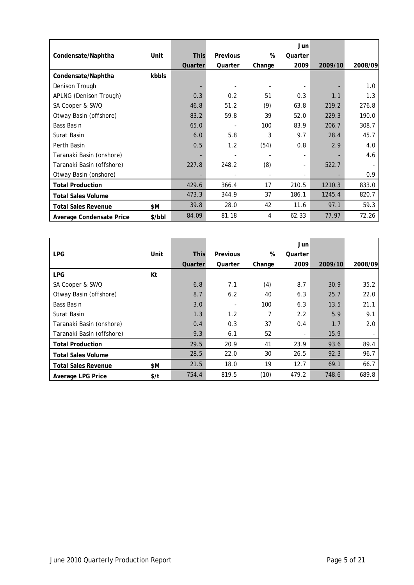|                            |        |                          |                 |        | Jun     |         |         |
|----------------------------|--------|--------------------------|-----------------|--------|---------|---------|---------|
| Condensate/Naphtha         | Unit   | <b>This</b>              | <b>Previous</b> | %      | Quarter |         |         |
|                            |        | Quarter                  | Quarter         | Change | 2009    | 2009/10 | 2008/09 |
| Condensate/Naphtha         | kbbls  |                          |                 |        |         |         |         |
| Denison Trough             |        | $\overline{\phantom{a}}$ |                 |        |         |         | 1.0     |
| APLNG (Denison Trough)     |        | 0.3                      | 0.2             | 51     | 0.3     | 1.1     | 1.3     |
| SA Cooper & SWQ            |        | 46.8                     | 51.2            | (9)    | 63.8    | 219.2   | 276.8   |
| Otway Basin (offshore)     |        | 83.2                     | 59.8            | 39     | 52.0    | 229.3   | 190.0   |
| Bass Basin                 |        | 65.0                     |                 | 100    | 83.9    | 206.7   | 308.7   |
| Surat Basin                |        | 6.0                      | 5.8             | 3      | 9.7     | 28.4    | 45.7    |
| Perth Basin                |        | 0.5                      | 1.2             | (54)   | 0.8     | 2.9     | 4.0     |
| Taranaki Basin (onshore)   |        |                          |                 |        | Ξ.      |         | 4.6     |
| Taranaki Basin (offshore)  |        | 227.8                    | 248.2           | (8)    | Ξ.      | 522.7   |         |
| Otway Basin (onshore)      |        |                          |                 |        | Ξ.      |         | 0.9     |
| <b>Total Production</b>    |        | 429.6                    | 366.4           | 17     | 210.5   | 1210.3  | 833.0   |
| <b>Total Sales Volume</b>  |        | 473.3                    | 344.9           | 37     | 186.1   | 1245.4  | 820.7   |
| <b>Total Sales Revenue</b> | \$M    | 39.8                     | 28.0            | 42     | 11.6    | 97.1    | 59.3    |
| Average Condensate Price   | \$/bbl | 84.09                    | 81.18           | 4      | 62.33   | 77.97   | 72.26   |

|                            |      |             |                 |        | Jun     |         |         |
|----------------------------|------|-------------|-----------------|--------|---------|---------|---------|
| <b>LPG</b>                 | Unit | <b>This</b> | <b>Previous</b> | %      | Quarter |         |         |
|                            |      | Quarter     | Quarter         | Change | 2009    | 2009/10 | 2008/09 |
| <b>LPG</b>                 | Kt   |             |                 |        |         |         |         |
| SA Cooper & SWQ            |      | 6.8         | 7.1             | (4)    | 8.7     | 30.9    | 35.2    |
| Otway Basin (offshore)     |      | 8.7         | 6.2             | 40     | 6.3     | 25.7    | 22.0    |
| <b>Bass Basin</b>          |      | 3.0         |                 | 100    | 6.3     | 13.5    | 21.1    |
| Surat Basin                |      | 1.3         | 1.2             | 7      | 2.2     | 5.9     | 9.1     |
| Taranaki Basin (onshore)   |      | 0.4         | 0.3             | 37     | 0.4     | 1.7     | 2.0     |
| Taranaki Basin (offshore)  |      | 9.3         | 6.1             | 52     | ۰.      | 15.9    |         |
| <b>Total Production</b>    |      | 29.5        | 20.9            | 41     | 23.9    | 93.6    | 89.4    |
| <b>Total Sales Volume</b>  |      | 28.5        | 22.0            | 30     | 26.5    | 92.3    | 96.7    |
| <b>Total Sales Revenue</b> | \$Μ  | 21.5        | 18.0            | 19     | 12.7    | 69.1    | 66.7    |
| Average LPG Price          | \$/t | 754.4       | 819.5           | (10)   | 479.2   | 748.6   | 689.8   |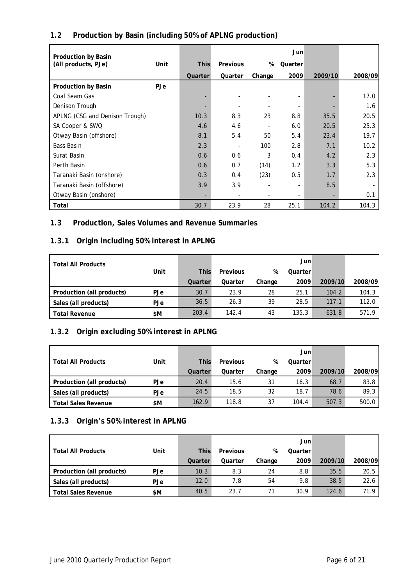| 1.2 | Production by Basin (including 50% of APLNG production) |  |  |
|-----|---------------------------------------------------------|--|--|
|-----|---------------------------------------------------------|--|--|

| Production by Basin            |            |             |          |        | Jun                      |         |         |
|--------------------------------|------------|-------------|----------|--------|--------------------------|---------|---------|
| (All products, PJe)            | Unit       | <b>This</b> | Previous | %      | Quarter                  |         |         |
|                                |            | Quarter     | Quarter  | Change | 2009                     | 2009/10 | 2008/09 |
| <b>Production by Basin</b>     | <b>PJe</b> |             |          |        |                          |         |         |
| Coal Seam Gas                  |            |             |          |        |                          |         | 17.0    |
| Denison Trough                 |            |             |          |        |                          |         | 1.6     |
| APLNG (CSG and Denison Trough) |            | 10.3        | 8.3      | 23     | 8.8                      | 35.5    | 20.5    |
| SA Cooper & SWQ                |            | 4.6         | 4.6      |        | 6.0                      | 20.5    | 25.3    |
| Otway Basin (offshore)         |            | 8.1         | 5.4      | 50     | 5.4                      | 23.4    | 19.7    |
| <b>Bass Basin</b>              |            | 2.3         |          | 100    | 2.8                      | 7.1     | 10.2    |
| Surat Basin                    |            | 0.6         | 0.6      | 3      | 0.4                      | 4.2     | 2.3     |
| Perth Basin                    |            | 0.6         | 0.7      | (14)   | 1.2                      | 3.3     | 5.3     |
| Taranaki Basin (onshore)       |            | 0.3         | 0.4      | (23)   | 0.5                      | 1.7     | 2.3     |
| Taranaki Basin (offshore)      |            | 3.9         | 3.9      |        | $\overline{\phantom{a}}$ | 8.5     |         |
| Otway Basin (onshore)          |            |             |          |        |                          | ٠       | 0.1     |
| Total                          |            | 30.7        | 23.9     | 28     | 25.1                     | 104.2   | 104.3   |

## **1.3 Production, Sales Volumes and Revenue Summaries**

## **1.3.1 Origin including 50% interest in APLNG**

| <b>Total All Products</b> |            |             |          |        | Jun     |         |         |
|---------------------------|------------|-------------|----------|--------|---------|---------|---------|
|                           | Unit       | <b>This</b> | Previous | %      | Quarter |         |         |
|                           |            | Quarter     | Quarter  | Change | 2009    | 2009/10 | 2008/09 |
| Production (all products) | <b>PJe</b> | 30.7        | 23.9     | 28     | 25.1    | 104.2   | 104.3   |
| Sales (all products)      | <b>PJe</b> | 36.5        | 26.3     | 39     | 28.5    | 117.1   | 112.0   |
| <b>Total Revenue</b>      | \$Μ        | 203.4       | 142.4    | 43     | 135.3   | 631.8   | 571.9   |

## **1.3.2 Origin excluding 50% interest in APLNG**

|                            |      |             |          |        | Jun     |         |         |
|----------------------------|------|-------------|----------|--------|---------|---------|---------|
| <b>Total All Products</b>  | Unit | <b>This</b> | Previous | %      | Quarter |         |         |
|                            |      | Quarter     | Quarter  | Change | 2009    | 2009/10 | 2008/09 |
| Production (all products)  | PJe  | 20.4        | 15.6     | 31     | 16.3    | 68.7    | 83.8    |
| Sales (all products)       | PJe  | 24.5        | 18.5     | 32     | 18.7    | 78.6    | 89.3    |
| <b>Total Sales Revenue</b> | \$M  | 162.9       | 118.8    | 37     | 104.4   | 507.3   | 500.0   |

## **1.3.3 Origin's 50% interest in APLNG**

|                            |            |             |          |        | Jun     |         |         |
|----------------------------|------------|-------------|----------|--------|---------|---------|---------|
| <b>Total All Products</b>  | Unit       | <b>This</b> | Previous | %      | Quarter |         |         |
|                            |            | Quarter     | Quarter  | Change | 2009    | 2009/10 | 2008/09 |
| Production (all products)  | <b>PJe</b> | 10.3        | 8.3      | 24     | 8.8     | 35.5    | 20.5    |
| Sales (all products)       | PJe        | 12.0        | 7.8      | 54     | 9.8     | 38.5    | 22.6    |
| <b>Total Sales Revenue</b> | \$M        | 40.5        | 23.7     |        | 30.9    | 124.6   | 71.9    |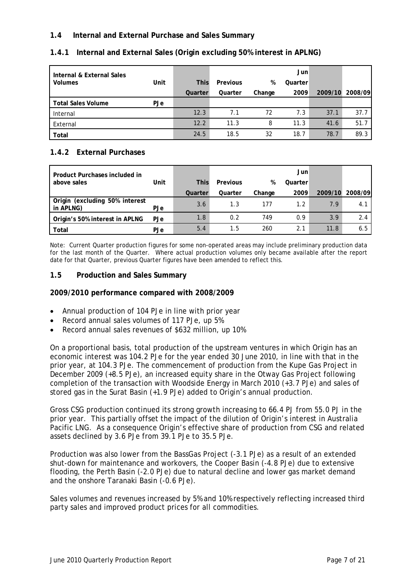### **1.4 Internal and External Purchase and Sales Summary**

| Internal & External Sales |      |             |          |        | Jun     |         |         |
|---------------------------|------|-------------|----------|--------|---------|---------|---------|
| <b>Volumes</b>            | Unit | <b>This</b> | Previous | %      | Quarter |         |         |
|                           |      | Quarter     | Quarter  | Change | 2009    | 2009/10 | 2008/09 |
| <b>Total Sales Volume</b> | PJe  |             |          |        |         |         |         |
| Internal                  |      | 12.3        | 7.1      | 72     | 7.3     | 37.1    | 37.7    |
| External                  |      | 12.2        | 11.3     | 8      | 11.3    | 41.6    | 51.7    |
| <b>Total</b>              |      | 24.5        | 18.5     | 32     | 18.7    | 78.7    | 89.3    |

### **1.4.1 Internal and External Sales (Origin excluding 50% interest in APLNG)**

## **1.4.2 External Purchases**

| Product Purchases included in               |            |             |          |        | Jun     |         |         |
|---------------------------------------------|------------|-------------|----------|--------|---------|---------|---------|
| above sales                                 | Unit       | <b>This</b> | Previous | %      | Quarter |         |         |
|                                             |            | Quarter     | Quarter  | Change | 2009    | 2009/10 | 2008/09 |
| Origin (excluding 50% interest<br>in APLNG) | PJe        | 3.6         | 1.3      | 177    | 1.2     | 7.9     | 4.1     |
| Origin's 50% interest in APLNG              | PJe        | 1.8         | 0.2      | 749    | 0.9     | 3.9     | 2.4     |
| Total                                       | <b>PJe</b> | 5.4         | 1.5      | 260    | 2.1     | 11.8    | 6.5     |

Note: Current Quarter production figures for some non-operated areas may include preliminary production data for the last month of the Quarter. Where actual production volumes only became available after the report date for that Quarter, previous Quarter figures have been amended to reflect this.

### **1.5 Production and Sales Summary**

#### **2009/2010 performance compared with 2008/2009**

- Annual production of 104 PJe in line with prior year
- Record annual sales volumes of 117 PJe, up 5%
- Record annual sales revenues of \$632 million, up 10%

On a proportional basis, total production of the upstream ventures in which Origin has an economic interest was 104.2 PJe for the year ended 30 June 2010, in line with that in the prior year, at 104.3 PJe. The commencement of production from the Kupe Gas Project in December 2009 (+8.5 PJe), an increased equity share in the Otway Gas Project following completion of the transaction with Woodside Energy in March 2010 (+3.7 PJe) and sales of stored gas in the Surat Basin (+1.9 PJe) added to Origin's annual production.

Gross CSG production continued its strong growth increasing to 66.4 PJ from 55.0 PJ in the prior year. This partially offset the impact of the dilution of Origin's interest in Australia Pacific LNG. As a consequence Origin's effective share of production from CSG and related assets declined by 3.6 PJe from 39.1 PJe to 35.5 PJe.

Production was also lower from the BassGas Project (-3.1 PJe) as a result of an extended shut-down for maintenance and workovers, the Cooper Basin (-4.8 PJe) due to extensive flooding, the Perth Basin (-2.0 PJe) due to natural decline and lower gas market demand and the onshore Taranaki Basin (-0.6 PJe).

Sales volumes and revenues increased by 5% and 10% respectively reflecting increased third party sales and improved product prices for all commodities.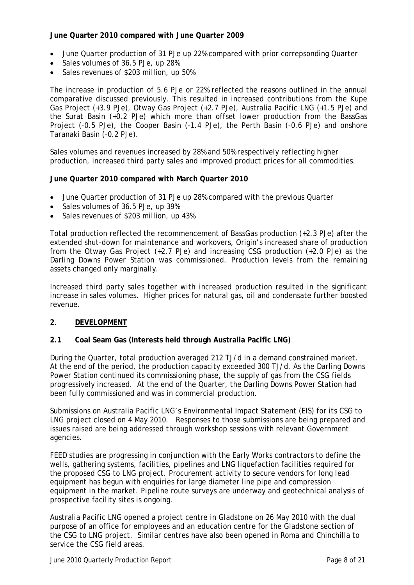#### **June Quarter 2010 compared with June Quarter 2009**

- June Quarter production of 31 PJe up 22% compared with prior correpsonding Quarter
- Sales volumes of 36.5 PJe, up 28%
- Sales revenues of \$203 million, up 50%

The increase in production of 5.6 PJe or 22% reflected the reasons outlined in the annual comparative discussed previously. This resulted in increased contributions from the Kupe Gas Project (+3.9 PJe), Otway Gas Project (+2.7 PJe), Australia Pacific LNG (+1.5 PJe) and the Surat Basin (+0.2 PJe) which more than offset lower production from the BassGas Project (-0.5 PJe), the Cooper Basin (-1.4 PJe), the Perth Basin (-0.6 PJe) and onshore Taranaki Basin (-0.2 PJe).

Sales volumes and revenues increased by 28% and 50% respectively reflecting higher production, increased third party sales and improved product prices for all commodities.

#### **June Quarter 2010 compared with March Quarter 2010**

- June Quarter production of 31 PJe up 28% compared with the previous Quarter
- Sales volumes of 36.5 PJe, up 39%
- Sales revenues of \$203 million, up 43%

Total production reflected the recommencement of BassGas production (+2.3 PJe) after the extended shut-down for maintenance and workovers, Origin's increased share of production from the Otway Gas Project (+2.7 PJe) and increasing CSG production (+2.0 PJe) as the Darling Downs Power Station was commissioned. Production levels from the remaining assets changed only marginally.

Increased third party sales together with increased production resulted in the significant increase in sales volumes. Higher prices for natural gas, oil and condensate further boosted revenue.

#### **2**. **DEVELOPMENT**

#### **2.1 Coal Seam Gas (Interests held through Australia Pacific LNG)**

During the Quarter, total production averaged 212 TJ/d in a demand constrained market. At the end of the period, the production capacity exceeded 300 TJ/d. As the Darling Downs Power Station continued its commissioning phase, the supply of gas from the CSG fields progressively increased. At the end of the Quarter, the Darling Downs Power Station had been fully commissioned and was in commercial production.

Submissions on Australia Pacific LNG's Environmental Impact Statement (EIS) for its CSG to LNG project closed on 4 May 2010. Responses to those submissions are being prepared and issues raised are being addressed through workshop sessions with relevant Government agencies.

FEED studies are progressing in conjunction with the Early Works contractors to define the wells, gathering systems, facilities, pipelines and LNG liquefaction facilities required for the proposed CSG to LNG project. Procurement activity to secure vendors for long lead equipment has begun with enquiries for large diameter line pipe and compression equipment in the market. Pipeline route surveys are underway and geotechnical analysis of prospective facility sites is ongoing.

Australia Pacific LNG opened a project centre in Gladstone on 26 May 2010 with the dual purpose of an office for employees and an education centre for the Gladstone section of the CSG to LNG project. Similar centres have also been opened in Roma and Chinchilla to service the CSG field areas.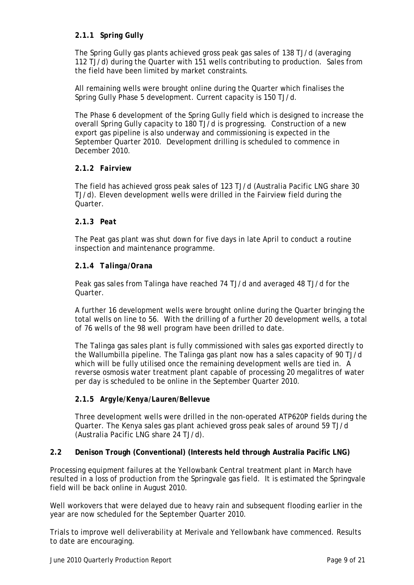### **2.1.1** *Spring Gully*

The Spring Gully gas plants achieved gross peak gas sales of 138 TJ/d (averaging 112 TJ/d) during the Quarter with 151 wells contributing to production. Sales from the field have been limited by market constraints.

All remaining wells were brought online during the Quarter which finalises the Spring Gully Phase 5 development. Current capacity is 150 TJ/d.

The Phase 6 development of the Spring Gully field which is designed to increase the overall Spring Gully capacity to 180 TJ/d is progressing. Construction of a new export gas pipeline is also underway and commissioning is expected in the September Quarter 2010. Development drilling is scheduled to commence in December 2010.

#### **2.1.2** *Fairview*

The field has achieved gross peak sales of 123 TJ/d (Australia Pacific LNG share 30 TJ/d). Eleven development wells were drilled in the Fairview field during the **Quarter** 

#### **2.1.3** *Peat*

The Peat gas plant was shut down for five days in late April to conduct a routine inspection and maintenance programme.

#### **2.1.4** *Talinga/Orana*

Peak gas sales from Talinga have reached 74 TJ/d and averaged 48 TJ/d for the Quarter.

A further 16 development wells were brought online during the Quarter bringing the total wells on line to 56. With the drilling of a further 20 development wells, a total of 76 wells of the 98 well program have been drilled to date.

The Talinga gas sales plant is fully commissioned with sales gas exported directly to the Wallumbilla pipeline. The Talinga gas plant now has a sales capacity of 90 TJ/d which will be fully utilised once the remaining development wells are tied in. A reverse osmosis water treatment plant capable of processing 20 megalitres of water per day is scheduled to be online in the September Quarter 2010.

#### **2.1.5** *Argyle/Kenya/Lauren/Bellevue*

Three development wells were drilled in the non-operated ATP620P fields during the Quarter. The Kenya sales gas plant achieved gross peak sales of around 59 TJ/d (Australia Pacific LNG share 24 TJ/d).

#### **2.2 Denison Trough (Conventional) (Interests held through Australia Pacific LNG)**

Processing equipment failures at the Yellowbank Central treatment plant in March have resulted in a loss of production from the Springvale gas field. It is estimated the Springvale field will be back online in August 2010.

Well workovers that were delayed due to heavy rain and subsequent flooding earlier in the year are now scheduled for the September Quarter 2010.

Trials to improve well deliverability at Merivale and Yellowbank have commenced. Results to date are encouraging.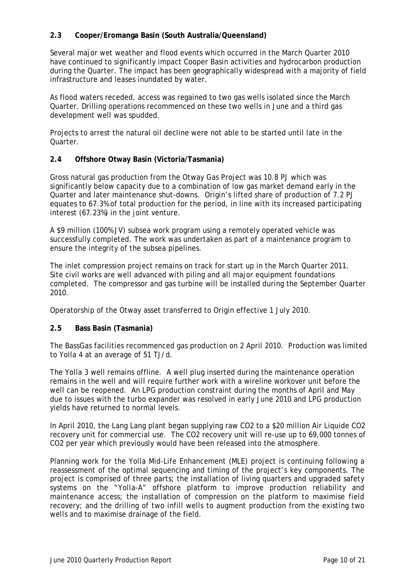### **2.3 Cooper/Eromanga Basin (South Australia/Queensland)**

Several major wet weather and flood events which occurred in the March Quarter 2010 have continued to significantly impact Cooper Basin activities and hydrocarbon production during the Quarter. The impact has been geographically widespread with a majority of field infrastructure and leases inundated by water.

As flood waters receded, access was regained to two gas wells isolated since the March Quarter. Drilling operations recommenced on these two wells in June and a third gas development well was spudded.

Projects to arrest the natural oil decline were not able to be started until late in the Quarter.

#### **2.4 Offshore Otway Basin (Victoria/Tasmania)**

Gross natural gas production from the Otway Gas Project was 10.8 PJ which was significantly below capacity due to a combination of low gas market demand early in the Quarter and later maintenance shut-downs. Origin's lifted share of production of 7.2 PJ equates to 67.3% of total production for the period, in line with its increased participating interest (67.23%) in the joint venture.

A \$9 million (100% JV) subsea work program using a remotely operated vehicle was successfully completed. The work was undertaken as part of a maintenance program to ensure the integrity of the subsea pipelines.

The inlet compression project remains on track for start up in the March Quarter 2011. Site civil works are well advanced with piling and all major equipment foundations completed. The compressor and gas turbine will be installed during the September Quarter 2010.

Operatorship of the Otway asset transferred to Origin effective 1 July 2010.

#### **2.5 Bass Basin (Tasmania)**

The BassGas facilities recommenced gas production on 2 April 2010. Production was limited to Yolla 4 at an average of 51 TJ/d.

The Yolla 3 well remains offline. A well plug inserted during the maintenance operation remains in the well and will require further work with a wireline workover unit before the well can be reopened. An LPG production constraint during the months of April and May due to issues with the turbo expander was resolved in early June 2010 and LPG production yields have returned to normal levels.

In April 2010, the Lang Lang plant began supplying raw CO2 to a \$20 million Air Liquide CO2 recovery unit for commercial use. The CO2 recovery unit will re-use up to 69,000 tonnes of CO2 per year which previously would have been released into the atmosphere.

Planning work for the Yolla Mid-Life Enhancement (MLE) project is continuing following a reassessment of the optimal sequencing and timing of the project's key components. The project is comprised of three parts; the installation of living quarters and upgraded safety systems on the "Yolla-A" offshore platform to improve production reliability and maintenance access; the installation of compression on the platform to maximise field recovery; and the drilling of two infill wells to augment production from the existing two wells and to maximise drainage of the field.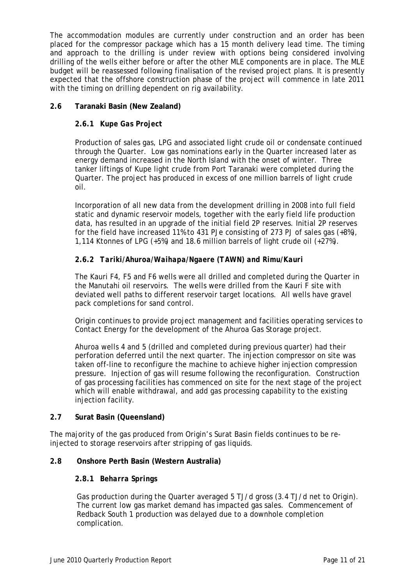The accommodation modules are currently under construction and an order has been placed for the compressor package which has a 15 month delivery lead time. The timing and approach to the drilling is under review with options being considered involving drilling of the wells either before or after the other MLE components are in place. The MLE budget will be reassessed following finalisation of the revised project plans. It is presently expected that the offshore construction phase of the project will commence in late 2011 with the timing on drilling dependent on rig availability.

### **2.6 Taranaki Basin (New Zealand)**

### **2.6.1** *Kupe Gas Project*

Production of sales gas, LPG and associated light crude oil or condensate continued through the Quarter. Low gas nominations early in the Quarter increased later as energy demand increased in the North Island with the onset of winter. Three tanker liftings of Kupe light crude from Port Taranaki were completed during the Quarter. The project has produced in excess of one million barrels of light crude oil.

Incorporation of all new data from the development drilling in 2008 into full field static and dynamic reservoir models, together with the early field life production data, has resulted in an upgrade of the initial field 2P reserves. Initial 2P reserves for the field have increased 11% to 431 PJe consisting of 273 PJ of sales gas  $(+8%)$ , 1,114 Ktonnes of LPG (+5%) and 18.6 million barrels of light crude oil (+27%).

### **2.6.2** *Tariki/Ahuroa/Waihapa/Ngaere (TAWN) and Rimu/Kauri*

The Kauri F4, F5 and F6 wells were all drilled and completed during the Quarter in the Manutahi oil reservoirs. The wells were drilled from the Kauri F site with deviated well paths to different reservoir target locations. All wells have gravel pack completions for sand control.

Origin continues to provide project management and facilities operating services to Contact Energy for the development of the Ahuroa Gas Storage project.

Ahuroa wells 4 and 5 (drilled and completed during previous quarter) had their perforation deferred until the next quarter. The injection compressor on site was taken off-line to reconfigure the machine to achieve higher injection compression pressure. Injection of gas will resume following the reconfiguration. Construction of gas processing facilities has commenced on site for the next stage of the project which will enable withdrawal, and add gas processing capability to the existing injection facility.

#### **2.7 Surat Basin (Queensland)**

The majority of the gas produced from Origin's Surat Basin fields continues to be reinjected to storage reservoirs after stripping of gas liquids.

#### **2.8 Onshore Perth Basin (Western Australia)**

#### **2.8.1** *Beharra Springs*

 Gas production during the Quarter averaged 5 TJ/d gross (3.4 TJ/d net to Origin). The current low gas market demand has impacted gas sales. Commencement of Redback South 1 production was delayed due to a downhole completion complication.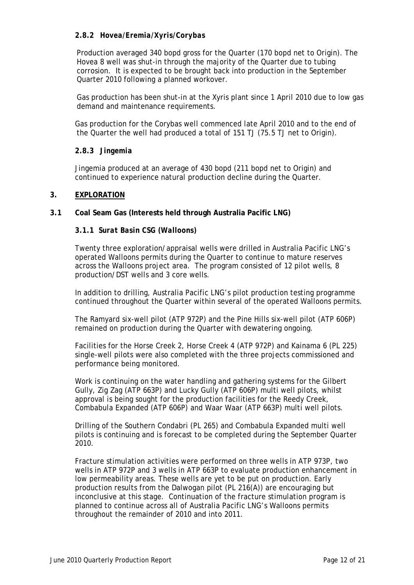### **2.8.2** *Hovea/Eremia/Xyris/Corybas*

 Production averaged 340 bopd gross for the Quarter (170 bopd net to Origin). The Hovea 8 well was shut-in through the majority of the Quarter due to tubing corrosion. It is expected to be brought back into production in the September Quarter 2010 following a planned workover.

 Gas production has been shut-in at the Xyris plant since 1 April 2010 due to low gas demand and maintenance requirements.

Gas production for the Corybas well commenced late April 2010 and to the end of the Quarter the well had produced a total of 151 TJ (75.5 TJ net to Origin).

#### **2.8.3** *Jingemia*

Jingemia produced at an average of 430 bopd (211 bopd net to Origin) and continued to experience natural production decline during the Quarter.

#### **3. EXPLORATION**

**3.1 Coal Seam Gas (Interests held through Australia Pacific LNG)** 

#### **3.1.1** *Surat Basin CSG (Walloons)*

Twenty three exploration/appraisal wells were drilled in Australia Pacific LNG's operated Walloons permits during the Quarter to continue to mature reserves across the Walloons project area. The program consisted of 12 pilot wells, 8 production/DST wells and 3 core wells.

In addition to drilling, Australia Pacific LNG's pilot production testing programme continued throughout the Quarter within several of the operated Walloons permits.

The Ramyard six-well pilot (ATP 972P) and the Pine Hills six-well pilot (ATP 606P) remained on production during the Quarter with dewatering ongoing.

Facilities for the Horse Creek 2, Horse Creek 4 (ATP 972P) and Kainama 6 (PL 225) single-well pilots were also completed with the three projects commissioned and performance being monitored.

Work is continuing on the water handling and gathering systems for the Gilbert Gully, Zig Zag (ATP 663P) and Lucky Gully (ATP 606P) multi well pilots, whilst approval is being sought for the production facilities for the Reedy Creek, Combabula Expanded (ATP 606P) and Waar Waar (ATP 663P) multi well pilots.

Drilling of the Southern Condabri (PL 265) and Combabula Expanded multi well pilots is continuing and is forecast to be completed during the September Quarter 2010.

Fracture stimulation activities were performed on three wells in ATP 973P, two wells in ATP 972P and 3 wells in ATP 663P to evaluate production enhancement in low permeability areas. These wells are yet to be put on production. Early production results from the Dalwogan pilot (PL 216(A)) are encouraging but inconclusive at this stage. Continuation of the fracture stimulation program is planned to continue across all of Australia Pacific LNG's Walloons permits throughout the remainder of 2010 and into 2011.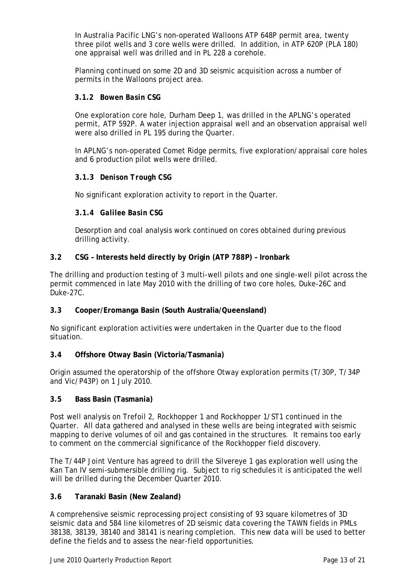In Australia Pacific LNG's non-operated Walloons ATP 648P permit area, twenty three pilot wells and 3 core wells were drilled. In addition, in ATP 620P (PLA 180) one appraisal well was drilled and in PL 228 a corehole.

Planning continued on some 2D and 3D seismic acquisition across a number of permits in the Walloons project area.

#### **3.1.2** *Bowen Basin CSG*

One exploration core hole, Durham Deep 1, was drilled in the APLNG's operated permit, ATP 592P. A water injection appraisal well and an observation appraisal well were also drilled in PL 195 during the Quarter.

In APLNG's non-operated Comet Ridge permits, five exploration/appraisal core holes and 6 production pilot wells were drilled.

#### **3.1.3** *Denison Trough CSG*

No significant exploration activity to report in the Quarter.

#### **3.1.4** *Galilee Basin CSG*

Desorption and coal analysis work continued on cores obtained during previous drilling activity.

#### **3.2 CSG – Interests held directly by Origin (ATP 788P) – Ironbark**

The drilling and production testing of 3 multi-well pilots and one single-well pilot across the permit commenced in late May 2010 with the drilling of two core holes, Duke-26C and Duke-27C.

#### **3.3 Cooper/Eromanga Basin (South Australia/Queensland)**

No significant exploration activities were undertaken in the Quarter due to the flood situation.

#### **3.4 Offshore Otway Basin (Victoria/Tasmania)**

Origin assumed the operatorship of the offshore Otway exploration permits (T/30P, T/34P and Vic/P43P) on 1 July 2010.

#### **3.5 Bass Basin (Tasmania)**

Post well analysis on Trefoil 2, Rockhopper 1 and Rockhopper 1/ST1 continued in the Quarter. All data gathered and analysed in these wells are being integrated with seismic mapping to derive volumes of oil and gas contained in the structures. It remains too early to comment on the commercial significance of the Rockhopper field discovery.

The T/44P Joint Venture has agreed to drill the Silvereye 1 gas exploration well using the Kan Tan IV semi-submersible drilling rig. Subject to rig schedules it is anticipated the well will be drilled during the December Quarter 2010.

#### **3.6 Taranaki Basin (New Zealand)**

A comprehensive seismic reprocessing project consisting of 93 square kilometres of 3D seismic data and 584 line kilometres of 2D seismic data covering the TAWN fields in PMLs 38138, 38139, 38140 and 38141 is nearing completion. This new data will be used to better define the fields and to assess the near-field opportunities.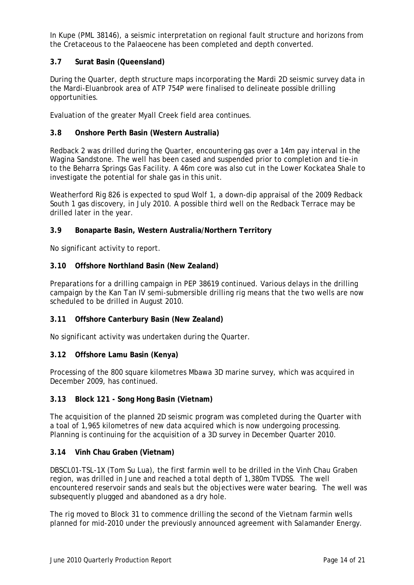In Kupe (PML 38146), a seismic interpretation on regional fault structure and horizons from the Cretaceous to the Palaeocene has been completed and depth converted.

### **3.7 Surat Basin (Queensland)**

During the Quarter, depth structure maps incorporating the Mardi 2D seismic survey data in the Mardi-Eluanbrook area of ATP 754P were finalised to delineate possible drilling opportunities.

Evaluation of the greater Myall Creek field area continues.

#### **3.8 Onshore Perth Basin (Western Australia)**

Redback 2 was drilled during the Quarter, encountering gas over a 14m pay interval in the Wagina Sandstone. The well has been cased and suspended prior to completion and tie-in to the Beharra Springs Gas Facility. A 46m core was also cut in the Lower Kockatea Shale to investigate the potential for shale gas in this unit.

Weatherford Rig 826 is expected to spud Wolf 1, a down-dip appraisal of the 2009 Redback South 1 gas discovery, in July 2010. A possible third well on the Redback Terrace may be drilled later in the year.

#### **3.9 Bonaparte Basin, Western Australia/Northern Territory**

No significant activity to report.

#### **3.10 Offshore Northland Basin (New Zealand)**

Preparations for a drilling campaign in PEP 38619 continued. Various delays in the drilling campaign by the Kan Tan IV semi-submersible drilling rig means that the two wells are now scheduled to be drilled in August 2010.

#### **3.11 Offshore Canterbury Basin (New Zealand)**

No significant activity was undertaken during the Quarter.

#### **3.12 Offshore Lamu Basin (Kenya)**

Processing of the 800 square kilometres Mbawa 3D marine survey, which was acquired in December 2009, has continued.

#### **3.13 Block 121 - Song Hong Basin (Vietnam)**

The acquisition of the planned 2D seismic program was completed during the Quarter with a toal of 1,965 kilometres of new data acquired which is now undergoing processing. Planning is continuing for the acquisition of a 3D survey in December Quarter 2010.

#### **3.14 Vinh Chau Graben (Vietnam)**

DBSCL01-TSL-1X (Tom Su Lua), the first farmin well to be drilled in the Vinh Chau Graben region, was drilled in June and reached a total depth of 1,380m TVDSS. The well encountered reservoir sands and seals but the objectives were water bearing. The well was subsequently plugged and abandoned as a dry hole.

The rig moved to Block 31 to commence drilling the second of the Vietnam farmin wells planned for mid-2010 under the previously announced agreement with Salamander Energy.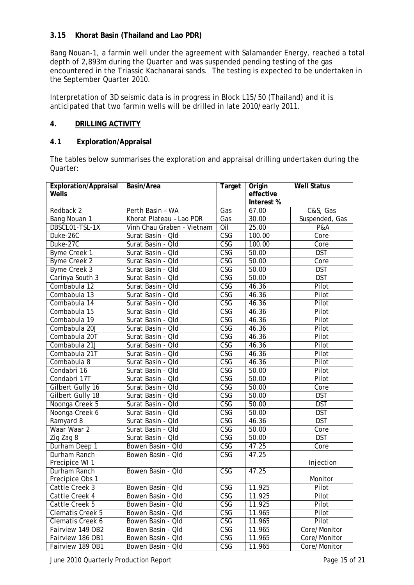### **3.15 Khorat Basin (Thailand and Lao PDR)**

Bang Nouan-1, a farmin well under the agreement with Salamander Energy, reached a total depth of 2,893m during the Quarter and was suspended pending testing of the gas encountered in the Triassic Kachanarai sands. The testing is expected to be undertaken in the September Quarter 2010.

Interpretation of 3D seismic data is in progress in Block L15/50 (Thailand) and it is anticipated that two farmin wells will be drilled in late 2010/early 2011.

### **4. DRILLING ACTIVITY**

### **4.1 Exploration/Appraisal**

The tables below summarises the exploration and appraisal drilling undertaken during the Quarter:

| <b>Exploration/Appraisal</b><br>Wells | Basin/Area                 | Target                  | Origin<br>effective | <b>Well Status</b> |
|---------------------------------------|----------------------------|-------------------------|---------------------|--------------------|
|                                       |                            |                         | Interest %          |                    |
| Redback 2                             | Perth Basin - WA           | Gas                     | 67.00               | C&S, Gas           |
| Bang Nouan 1                          | Khorat Plateau - Lao PDR   | Gas                     | 30.00               | Suspended, Gas     |
| DBSCL01-TSL-1X                        | Vinh Chau Graben - Vietnam | Oil                     | 25.00               | P&A                |
| Duke-26C                              | Surat Basin - Qld          | $\overline{\text{CSG}}$ | 100.00              | Core               |
| Duke-27C                              | Surat Basin - Qld          | $\overline{\text{CSG}}$ | 100.00              | Core               |
| Byme Creek 1                          | Surat Basin - Qld          | $\overline{\text{CSG}}$ | 50.00               | <b>DST</b>         |
| Byme Creek 2                          | Surat Basin - Qld          | $\overline{\text{CSG}}$ | 50.00               | Core               |
| <b>Byme Creek 3</b>                   | Surat Basin - Qld          | $\overline{\text{CSG}}$ | 50.00               | <b>DST</b>         |
| Carinya South 3                       | Surat Basin - Qld          | $\overline{\text{CSG}}$ | 50.00               | <b>DST</b>         |
| Combabula 12                          | Surat Basin - Qld          | $\overline{\text{CSG}}$ | 46.36               | Pilot              |
| Combabula 13                          | Surat Basin - Qld          | $\overline{\text{CSG}}$ | 46.36               | Pilot              |
| Combabula 14                          | Surat Basin - Qld          | $\overline{\text{CSG}}$ | 46.36               | Pilot              |
| Combabula 15                          | Surat Basin - Qld          | $\overline{\text{CSG}}$ | 46.36               | Pilot              |
| Combabula 19                          | Surat Basin - Qld          | $\overline{\text{CSG}}$ | 46.36               | Pilot              |
| Combabula 20J                         | Surat Basin - Qld          | $\overline{\text{CSG}}$ | 46.36               | Pilot              |
| Combabula 20T                         | Surat Basin - Qld          | $\overline{\text{CSG}}$ | 46.36               | Pilot              |
| Combabula 21J                         | Surat Basin - Qld          | $\overline{\text{CSG}}$ | 46.36               | Pilot              |
| Combabula 21T                         | Surat Basin - Qld          | $\overline{\text{CSG}}$ | 46.36               | Pilot              |
| Combabula 8                           | Surat Basin - Qld          | $\overline{\text{CSG}}$ | 46.36               | Pilot              |
| Condabri 16                           | Surat Basin - Qld          | <b>CSG</b>              | 50.00               | Pilot              |
| Condabri 17T                          | Surat Basin - Qld          | $\overline{\text{CSG}}$ | 50.00               | Pilot              |
| Gilbert Gully 16                      | Surat Basin - Qld          | $\overline{\text{CSG}}$ | 50.00               | Core               |
| Gilbert Gully 18                      | Surat Basin - Qld          | $\overline{\text{CSG}}$ | 50.00               | <b>DST</b>         |
| Noonga Creek 5                        | Surat Basin - Qld          | $\overline{\text{CSG}}$ | 50.00               | <b>DST</b>         |
| Noonga Creek 6                        | Surat Basin - Qld          | $\overline{\text{CSG}}$ | 50.00               | <b>DST</b>         |
| Ramyard 8                             | Surat Basin - Qld          | <b>CSG</b>              | 46.36               | <b>DST</b>         |
| Waar Waar 2                           | Surat Basin - Qld          | $\overline{\text{CSG}}$ | 50.00               | Core               |
| Zig Zag 8                             | Surat Basin - Qld          | $\overline{\text{CSG}}$ | 50.00               | <b>DST</b>         |
| Durham Deep 1                         | Bowen Basin - Qld          | CSG                     | 47.25               | Core               |
| Durham Ranch                          | Bowen Basin - Qld          | CSG                     | 47.25               |                    |
| Precipice WI 1                        |                            |                         |                     | Injection          |
| Durham Ranch                          | Bowen Basin - Qld          | $\overline{\text{CSG}}$ | 47.25               |                    |
| Precipice Obs 1                       |                            |                         |                     | Monitor            |
| Cattle Creek 3                        | Bowen Basin - Qld          | $\overline{\text{CSG}}$ | 11.925              | Pilot              |
| Cattle Creek 4                        | Bowen Basin - Qld          | <b>CSG</b>              | 11.925              | Pilot              |
| Cattle Creek 5                        | Bowen Basin - Qld          | CSG                     | 11.925              | Pilot              |
| <b>Clematis Creek 5</b>               | Bowen Basin - Qld          | CSG                     | 11.965              | Pilot              |
| Clematis Creek 6                      | Bowen Basin - Qld          | CSG                     | 11.965              | Pilot              |
| Fairview 149 OB2                      | Bowen Basin - Qld          | CSG                     | 11.965              | Core/Monitor       |
| Fairview 186 OB1                      | Bowen Basin - Qld          | CSG                     | 11.965              | Core/Monitor       |
| Fairview 189 OB1                      | Bowen Basin - Qld          | CSG                     | 11.965              | Core/Monitor       |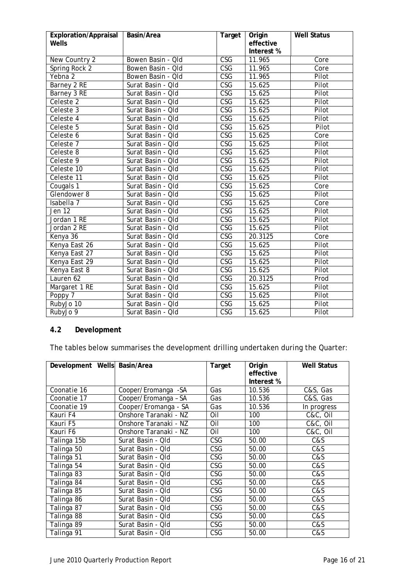| Exploration/Appraisal<br>Wells | Basin/Area        | Target                  | Origin<br>effective<br>Interest % | <b>Well Status</b> |
|--------------------------------|-------------------|-------------------------|-----------------------------------|--------------------|
| New Country 2                  | Bowen Basin - Qld | $\overline{\text{CSG}}$ | 11.965                            | Core               |
| Spring Rock 2                  | Bowen Basin - Qld | $\overline{\text{CSG}}$ | 11.965                            | Core               |
| Yebna 2                        | Bowen Basin - Qld | $\overline{\text{CSG}}$ | 11.965                            | Pilot              |
| Barney 2 RE                    | Surat Basin - Qld | <b>CSG</b>              | 15.625                            | Pilot              |
| Barney 3 RE                    | Surat Basin - Qld | $\overline{\text{CSG}}$ | 15.625                            | Pilot              |
| Celeste 2                      | Surat Basin - Qld | $\overline{\text{CSG}}$ | 15.625                            | Pilot              |
| Celeste 3                      | Surat Basin - Qld | $\overline{\text{CSG}}$ | 15.625                            | Pilot              |
| Celeste 4                      | Surat Basin - Qld | $\overline{\text{CSG}}$ | 15.625                            | Pilot              |
| Celeste 5                      | Surat Basin - Qld | $\overline{\text{CSG}}$ | 15.625                            | Pilot              |
| Celeste 6                      | Surat Basin - Qld | $\overline{\text{CSG}}$ | 15.625                            | Core               |
| Celeste 7                      | Surat Basin - Qld | $\overline{\text{CSG}}$ | 15.625                            | Pilot              |
| Celeste 8                      | Surat Basin - Qld | $\overline{\text{CSG}}$ | 15.625                            | Pilot              |
| Celeste 9                      | Surat Basin - Qld | $\overline{\text{CSG}}$ | 15.625                            | Pilot              |
| Celeste 10                     | Surat Basin - Qld | $\overline{\text{CSG}}$ | 15.625                            | Pilot              |
| Celeste 11                     | Surat Basin - Qld | $\overline{\text{CSG}}$ | 15.625                            | Pilot              |
| Cougals <sub>1</sub>           | Surat Basin - Qld | $\overline{\text{CSG}}$ | 15.625                            | Core               |
| Glendower 8                    | Surat Basin - Qld | $\overline{\text{CSG}}$ | 15.625                            | Pilot              |
| Isabella 7                     | Surat Basin - Qld | $\overline{\text{CSG}}$ | 15.625                            | Core               |
| Jen 12                         | Surat Basin - Qld | $\overline{\text{CSG}}$ | 15.625                            | Pilot              |
| Jordan 1 RE                    | Surat Basin - Qld | <b>CSG</b>              | 15.625                            | Pilot              |
| Jordan 2 RE                    | Surat Basin - Qld | $\overline{\text{CSG}}$ | 15.625                            | Pilot              |
| Kenya 36                       | Surat Basin - Qld | $\overline{\text{CSG}}$ | 20.3125                           | Core               |
| Kenya East 26                  | Surat Basin - Qld | $\overline{\text{CSG}}$ | 15.625                            | Pilot              |
| Kenya East 27                  | Surat Basin - Qld | <b>CSG</b>              | 15.625                            | Pilot              |
| Kenya East 29                  | Surat Basin - Qld | $\overline{\text{CSG}}$ | 15.625                            | Pilot              |
| Kenya East 8                   | Surat Basin - Qld | $\overline{\text{CSG}}$ | 15.625                            | Pilot              |
| Lauren 62                      | Surat Basin - Qld | <b>CSG</b>              | 20.3125                           | Prod               |
| Margaret 1 RE                  | Surat Basin - Qld | $\overline{\text{CSG}}$ | 15.625                            | Pilot              |
| Poppy 7                        | Surat Basin - Qld | $\overline{\text{CSG}}$ | 15.625                            | Pilot              |
| RubyJo 10                      | Surat Basin - Qld | <b>CSG</b>              | 15.625                            | Pilot              |
| RubyJo 9                       | Surat Basin - Qld | $\overline{\text{CSG}}$ | 15.625                            | Pilot              |

## **4.2 Development**

The tables below summarises the development drilling undertaken during the Quarter:

| Development Wells Basin/Area |                       | Target     | Origin<br>effective<br>Interest % | <b>Well Status</b> |
|------------------------------|-----------------------|------------|-----------------------------------|--------------------|
| Coonatie 16                  | Cooper/Eromanga -SA   | Gas        | 10.536                            | C&S, Gas           |
| Coonatie 17                  | Cooper/Eromanga - SA  | Gas        | 10.536                            | C&S, Gas           |
| Coonatie 19                  | Cooper/Eromanga - SA  | Gas        | 10.536                            | In progress        |
| Kauri F4                     | Onshore Taranaki - NZ | Oil        | 100                               | C&C, Oil           |
| Kauri F5                     | Onshore Taranaki - NZ | Oil        | 100                               | C&C, Oil           |
| Kauri F6                     | Onshore Taranaki - NZ | Oil        | 100                               | C&C, Oil           |
| Talinga 15b                  | Surat Basin - Qld     | <b>CSG</b> | 50.00                             | C&S                |
| Talinga 50                   | Surat Basin - Qld     | CSG        | 50.00                             | C&S                |
| Talinga 51                   | Surat Basin - Qld     | CSG        | 50.00                             | C&S                |
| Talinga 54                   | Surat Basin - Qld     | CSG        | 50.00                             | C&S                |
| Talinga 83                   | Surat Basin - Qld     | CSG        | 50.00                             | C&S                |
| Talinga 84                   | Surat Basin - Qld     | CSG        | 50.00                             | C&S                |
| Talinga 85                   | Surat Basin - Qld     | <b>CSG</b> | 50.00                             | C&S                |
| Talinga 86                   | Surat Basin - Qld     | CSG        | 50.00                             | C&S                |
| Talinga 87                   | Surat Basin - Qld     | CSG        | 50.00                             | C&S                |
| Talinga 88                   | Surat Basin - Qld     | CSG        | 50.00                             | C&S                |
| Talinga 89                   | Surat Basin - Qld     | CSG        | 50.00                             | C&S                |
| Talinga 91                   | Surat Basin - Qld     | <b>CSG</b> | 50.00                             | C&S                |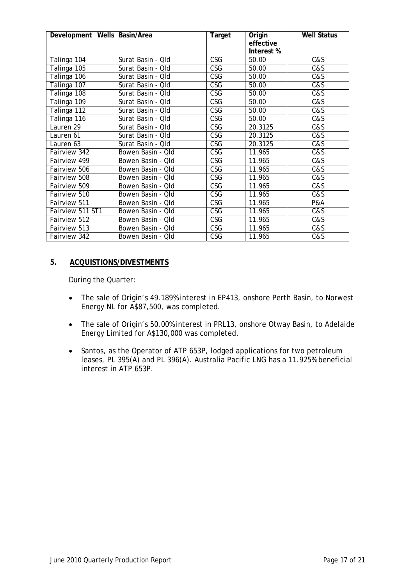| Development Wells Basin/Area |                   | Target                  | Origin     | <b>Well Status</b> |
|------------------------------|-------------------|-------------------------|------------|--------------------|
|                              |                   |                         | effective  |                    |
|                              |                   |                         | Interest % |                    |
| Talinga 104                  | Surat Basin - Old | <b>CSG</b>              | 50.00      | C&S                |
| Talinga 105                  | Surat Basin - Qld | CSG                     | 50.00      | C&S                |
| Talinga 106                  | Surat Basin - Qld | <b>CSG</b>              | 50.00      | C&S                |
| Talinga 107                  | Surat Basin - Qld | <b>CSG</b>              | 50.00      | C&S                |
| Talinga 108                  | Surat Basin - Qld | <b>CSG</b>              | 50.00      | C&S                |
| Talinga 109                  | Surat Basin - Qld | <b>CSG</b>              | 50.00      | C&S                |
| Talinga 112                  | Surat Basin - Qld | <b>CSG</b>              | 50.00      | C&S                |
| Talinga 116                  | Surat Basin - Qld | <b>CSG</b>              | 50.00      | C&S                |
| Lauren 29                    | Surat Basin - Qld | $\overline{\text{CSG}}$ | 20.3125    | C&S                |
| Lauren 61                    | Surat Basin - Qld | <b>CSG</b>              | 20.3125    | C&S                |
| Lauren 63                    | Surat Basin - Qld | $\overline{\text{CSG}}$ | 20.3125    | C&S                |
| Fairview 342                 | Bowen Basin - Qld | <b>CSG</b>              | 11.965     | C&S                |
| Fairview 499                 | Bowen Basin - Qld | <b>CSG</b>              | 11.965     | C&S                |
| Fairview 506                 | Bowen Basin - Qld | <b>CSG</b>              | 11.965     | C&S                |
| Fairview 508                 | Bowen Basin - Qld | $\overline{\text{CSG}}$ | 11.965     | C&S                |
| Fairview 509                 | Bowen Basin - Qld | <b>CSG</b>              | 11.965     | C&S                |
| Fairview 510                 | Bowen Basin - Qld | <b>CSG</b>              | 11.965     | C&S                |
| Fairview 511                 | Bowen Basin - Qld | <b>CSG</b>              | 11.965     | P&A                |
| Fairview 511 ST1             | Bowen Basin - Qld | <b>CSG</b>              | 11.965     | C&S                |
| Fairview 512                 | Bowen Basin - Qld | <b>CSG</b>              | 11.965     | C&S                |
| Fairview 513                 | Bowen Basin - Qld | <b>CSG</b>              | 11.965     | C&S                |
| Fairview 342                 | Bowen Basin - Qld | CSG                     | 11.965     | C&S                |

#### **5. ACQUISTIONS/DIVESTMENTS**

During the Quarter:

- The sale of Origin's 49.189% interest in EP413, onshore Perth Basin, to Norwest Energy NL for A\$87,500, was completed.
- The sale of Origin's 50.00% interest in PRL13, onshore Otway Basin, to Adelaide Energy Limited for A\$130,000 was completed.
- Santos, as the Operator of ATP 653P, lodged applications for two petroleum leases, PL 395(A) and PL 396(A). Australia Pacific LNG has a 11.925% beneficial interest in ATP 653P.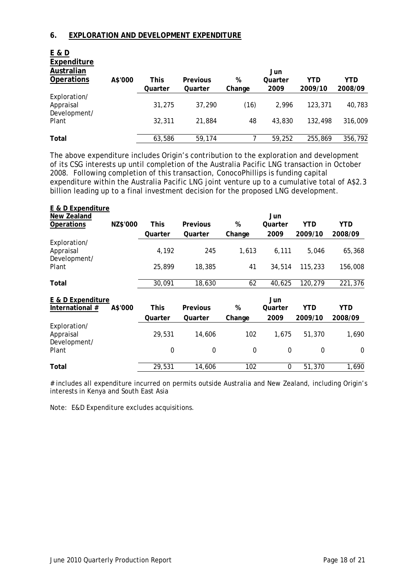#### **6. EXPLORATION AND DEVELOPMENT EXPENDITURE**

**E & D** 

| A\$'000 | <b>This</b> | <b>Previous</b> | %      | Jun<br>Quarter | YTD     | YTD     |
|---------|-------------|-----------------|--------|----------------|---------|---------|
|         | Quarter     | Quarter         | Change | 2009           | 2009/10 | 2008/09 |
|         | 31,275      | 37,290          | (16)   | 2.996          | 123,371 | 40,783  |
|         | 32,311      | 21,884          | 48     | 43,830         | 132.498 | 316,009 |
|         |             | 59,174          |        | 59,252         | 255,869 | 356,792 |
|         |             | 63,586          |        |                |         |         |

The above expenditure includes Origin's contribution to the exploration and development of its CSG interests up until completion of the Australia Pacific LNG transaction in October 2008. Following completion of this transaction, ConocoPhillips is funding capital expenditure within the Australia Pacific LNG joint venture up to a cumulative total of A\$2.3 billion leading up to a final investment decision for the proposed LNG development.

| E & D Expenditure |          |             |              |                  |         |                  |            |
|-------------------|----------|-------------|--------------|------------------|---------|------------------|------------|
| New Zealand       |          |             |              |                  | Jun     |                  |            |
| <b>Operations</b> | NZ\$'000 | This        | Previous     | %                | Quarter | YTD              | YTD        |
|                   |          | Quarter     | Quarter      | Change           | 2009    | 2009/10          | 2008/09    |
| Exploration/      |          |             |              |                  |         |                  |            |
| Appraisal         |          | 4,192       | 245          | 1,613            | 6,111   | 5,046            | 65,368     |
| Development/      |          |             |              |                  |         |                  |            |
| Plant             |          | 25,899      | 18,385       | 41               | 34,514  | 115,233          | 156,008    |
|                   |          |             |              |                  |         |                  |            |
| Total             |          | 30,091      | 18,630       | 62               | 40,625  | 120,279          | 221,376    |
| E & D Expenditure |          |             |              |                  | Jun     |                  |            |
| International #   | A\$'000  | <b>This</b> | Previous     | %                | Quarter | <b>YTD</b>       | <b>YTD</b> |
|                   |          | Quarter     | Quarter      | Change           | 2009    | 2009/10          | 2008/09    |
| Exploration/      |          |             |              |                  |         |                  |            |
| Appraisal         |          | 29,531      | 14,606       | 102              | 1,675   | 51,370           | 1,690      |
| Development/      |          |             |              |                  |         |                  |            |
| Plant             |          | $\mathbf 0$ | $\mathbf{0}$ | $\boldsymbol{0}$ | 0       | $\boldsymbol{0}$ | $\Omega$   |
| Total             |          | 29,531      | 14,606       | 102              | 0       | 51,370           | 1,690      |
|                   |          |             |              |                  |         |                  |            |

# includes all expenditure incurred on permits outside Australia and New Zealand, including Origin's interests in Kenya and South East Asia

Note: E&D Expenditure excludes acquisitions.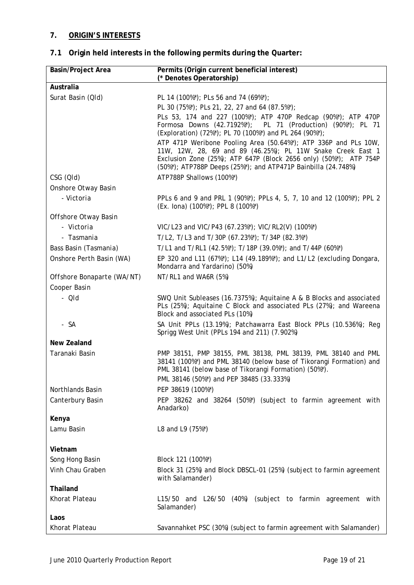## **7. ORIGIN'S INTERESTS**

## **7.1 Origin held interests in the following permits during the Quarter:**

| <b>Basin/Project Area</b>  | Permits (Origin current beneficial interest)                                                                                                                                                                                                                         |
|----------------------------|----------------------------------------------------------------------------------------------------------------------------------------------------------------------------------------------------------------------------------------------------------------------|
| Australia                  | (* Denotes Operatorship)                                                                                                                                                                                                                                             |
|                            |                                                                                                                                                                                                                                                                      |
| Surat Basin (QId)          | PL 14 (100%*); PLs 56 and 74 (69%*);                                                                                                                                                                                                                                 |
|                            | PL 30 (75%*); PLs 21, 22, 27 and 64 (87.5%*);<br>PLs 53, 174 and 227 (100%*); ATP 470P Redcap (90%*); ATP 470P                                                                                                                                                       |
|                            | Formosa Downs (42.7192%*); PL 71 (Production) (90%*); PL 71<br>(Exploration) (72%*); PL 70 (100%*) and PL 264 (90%*);                                                                                                                                                |
|                            | ATP 471P Weribone Pooling Area (50.64%*); ATP 336P and PLs 10W,<br>11W, 12W, 28, 69 and 89 (46.25%); PL 11W Snake Creek East 1<br>Exclusion Zone (25%); ATP 647P (Block 2656 only) (50%*); ATP 754P<br>(50%*); ATP788P Deeps (25%*); and ATP471P Bainbilla (24.748%) |
| CSG (QId)                  | ATP788P Shallows (100%*)                                                                                                                                                                                                                                             |
| Onshore Otway Basin        |                                                                                                                                                                                                                                                                      |
| - Victoria                 | PPLs 6 and 9 and PRL 1 (90%*); PPLs 4, 5, 7, 10 and 12 (100%*); PPL 2<br>(Ex. lona) (100%*); PPL 8 (100%*)                                                                                                                                                           |
| Offshore Otway Basin       |                                                                                                                                                                                                                                                                      |
| - Victoria                 | VIC/L23 and VIC/P43 (67.23%*); VIC/RL2(V) (100%*)                                                                                                                                                                                                                    |
| - Tasmania                 | T/L2, T/L3 and T/30P (67.23%*); T/34P (82.3%*)                                                                                                                                                                                                                       |
| Bass Basin (Tasmania)      | T/L1 and T/RL1 (42.5%*); T/18P (39.0%*); and T/44P (60%*)                                                                                                                                                                                                            |
| Onshore Perth Basin (WA)   | EP 320 and L11 (67%*); L14 (49.189%*); and L1/L2 (excluding Dongara,<br>Mondarra and Yardarino) (50%)                                                                                                                                                                |
| Offshore Bonaparte (WA/NT) | NT/RL1 and WA6R (5%)                                                                                                                                                                                                                                                 |
| Cooper Basin               |                                                                                                                                                                                                                                                                      |
| $- Q/d$                    | SWQ Unit Subleases (16.7375%); Aquitaine A & B Blocks and associated<br>PLs (25%); Aquitaine C Block and associated PLs (27%); and Wareena<br>Block and associated PLs (10%)                                                                                         |
| - SA                       | SA Unit PPLs (13.19%); Patchawarra East Block PPLs (10.536%); Reg<br>Sprigg West Unit (PPLs 194 and 211) (7.902%)                                                                                                                                                    |
| New Zealand                |                                                                                                                                                                                                                                                                      |
| Taranaki Basin             | PMP 38151, PMP 38155, PML 38138, PML 38139, PML 38140 and PML<br>38141 (100%*) and PML 38140 (below base of Tikorangi Formation) and<br>PML 38141 (below base of Tikorangi Formation) (50%*).                                                                        |
|                            | PML 38146 (50%*) and PEP 38485 (33.333%)                                                                                                                                                                                                                             |
| Northlands Basin           | PEP 38619 (100%*)                                                                                                                                                                                                                                                    |
| Canterbury Basin           | PEP 38262 and 38264 (50%*) (subject to farmin agreement with<br>Anadarko)                                                                                                                                                                                            |
| Kenya                      |                                                                                                                                                                                                                                                                      |
| Lamu Basin                 | L8 and L9 (75%*)                                                                                                                                                                                                                                                     |
| Vietnam                    |                                                                                                                                                                                                                                                                      |
| Song Hong Basin            | Block 121 (100%*)                                                                                                                                                                                                                                                    |
| Vinh Chau Graben           | Block 31 (25%) and Block DBSCL-01 (25%) (subject to farmin agreement<br>with Salamander)                                                                                                                                                                             |
| Thailand                   |                                                                                                                                                                                                                                                                      |
| Khorat Plateau             | L15/50 and L26/50 (40%) (subject to farmin agreement with<br>Salamander)                                                                                                                                                                                             |
| Laos                       |                                                                                                                                                                                                                                                                      |
| Khorat Plateau             | Savannahket PSC (30%) (subject to farmin agreement with Salamander)                                                                                                                                                                                                  |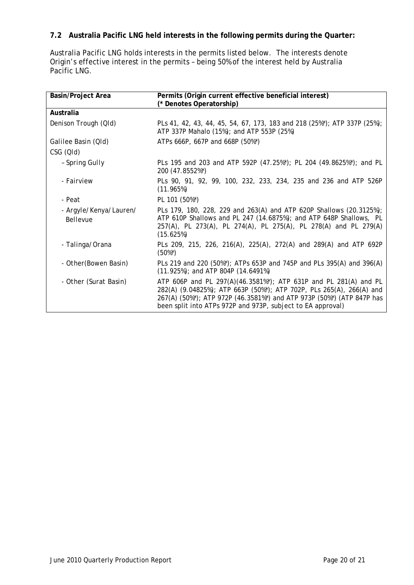## **7.2 Australia Pacific LNG held interests in the following permits during the Quarter:**

Australia Pacific LNG holds interests in the permits listed below. The interests denote Origin's effective interest in the permits – being 50% of the interest held by Australia Pacific LNG.

| Basin/Project Area                 | Permits (Origin current effective beneficial interest)<br>(* Denotes Operatorship)                                                                                                                                                                                               |
|------------------------------------|----------------------------------------------------------------------------------------------------------------------------------------------------------------------------------------------------------------------------------------------------------------------------------|
| Australia                          |                                                                                                                                                                                                                                                                                  |
| Denison Trough (QId)               | PLs 41, 42, 43, 44, 45, 54, 67, 173, 183 and 218 (25%*); ATP 337P (25%);<br>ATP 337P Mahalo (15%); and ATP 553P (25%)                                                                                                                                                            |
| Galilee Basin (Qld)                | ATPs 666P, 667P and 668P (50%*)                                                                                                                                                                                                                                                  |
| CSG (QId)                          |                                                                                                                                                                                                                                                                                  |
| - Spring Gully                     | PLs 195 and 203 and ATP 592P (47.25%*); PL 204 (49.8625%*); and PL<br>200 (47.8552%*)                                                                                                                                                                                            |
| - Fairview                         | PLs 90, 91, 92, 99, 100, 232, 233, 234, 235 and 236 and ATP 526P<br>(11.965%)                                                                                                                                                                                                    |
| - Peat                             | PL 101 (50%*)                                                                                                                                                                                                                                                                    |
| - Argyle/Kenya/Lauren/<br>Bellevue | PLs 179, 180, 228, 229 and 263(A) and ATP 620P Shallows (20.3125%);<br>ATP 610P Shallows and PL 247 (14.6875%); and ATP 648P Shallows, PL<br>257(A), PL 273(A), PL 274(A), PL 275(A), PL 278(A) and PL 279(A)<br>(15.625%)                                                       |
| - Talinga/Orana                    | PLs 209, 215, 226, 216(A), 225(A), 272(A) and 289(A) and ATP 692P<br>$(50\%)$                                                                                                                                                                                                    |
| - Other (Bowen Basin)              | PLs 219 and 220 (50%*); ATPs 653P and 745P and PLs 395(A) and 396(A)<br>$(11.925%)$ ; and ATP 804P $(14.6491%)$                                                                                                                                                                  |
| - Other (Surat Basin)              | ATP 606P and PL 297(A)(46.3581%*); ATP 631P and PL 281(A) and PL<br>282(A) (9.04825%); ATP 663P (50%*); ATP 702P, PLs 265(A), 266(A) and<br>267(A) (50%*); ATP 972P (46.3581%*) and ATP 973P (50%*) (ATP 847P has<br>been split into ATPs 972P and 973P, subject to EA approval) |